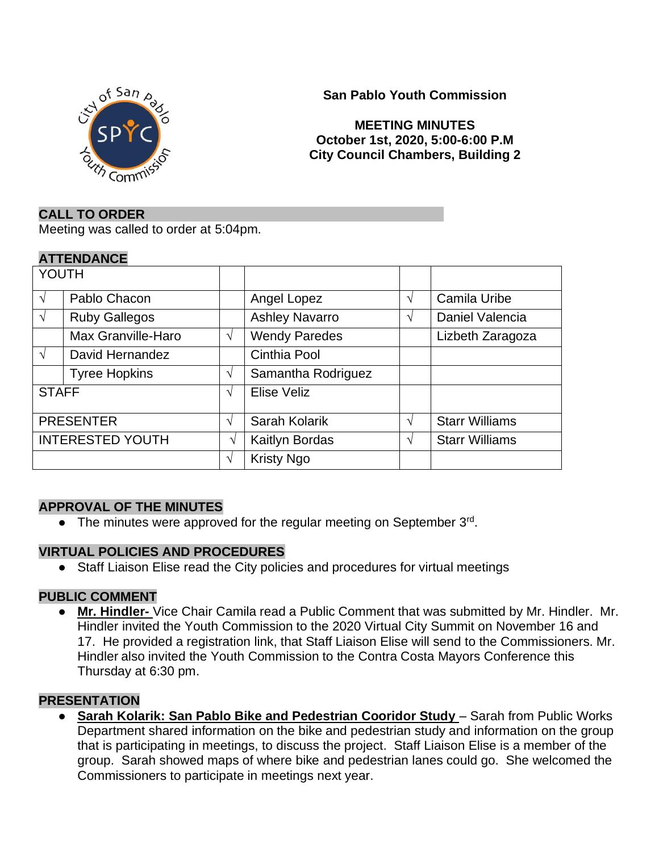

## **San Pablo Youth Commission**

### **MEETING MINUTES October 1st, 2020, 5:00-6:00 P.M City Council Chambers, Building 2**

### **CALL TO ORDER**

Meeting was called to order at 5:04pm.

#### **ATTENDANCE**

| YOUTH                   |            |                       |               |                       |
|-------------------------|------------|-----------------------|---------------|-----------------------|
| Pablo Chacon            |            | Angel Lopez           | V             | Camila Uribe          |
| <b>Ruby Gallegos</b>    |            | <b>Ashley Navarro</b> | N             | Daniel Valencia       |
| Max Granville-Haro      | $\sqrt{ }$ | <b>Wendy Paredes</b>  |               | Lizbeth Zaragoza      |
| David Hernandez         |            | Cinthia Pool          |               |                       |
| <b>Tyree Hopkins</b>    | $\sqrt{ }$ | Samantha Rodriguez    |               |                       |
| <b>STAFF</b>            | $\sqrt{ }$ | Elise Veliz           |               |                       |
| <b>PRESENTER</b>        | $\sqrt{ }$ | Sarah Kolarik         | $\mathcal{N}$ | <b>Starr Williams</b> |
| <b>INTERESTED YOUTH</b> | V          | Kaitlyn Bordas        |               | <b>Starr Williams</b> |
|                         | $\sqrt{ }$ | <b>Kristy Ngo</b>     |               |                       |
|                         |            |                       |               |                       |

## **APPROVAL OF THE MINUTES**

• The minutes were approved for the regular meeting on September 3rd.

#### **VIRTUAL POLICIES AND PROCEDURES**

● Staff Liaison Elise read the City policies and procedures for virtual meetings

## **PUBLIC COMMENT**

● **Mr. Hindler-** Vice Chair Camila read a Public Comment that was submitted by Mr. Hindler. Mr. Hindler invited the Youth Commission to the 2020 Virtual City Summit on November 16 and 17. He provided a registration link, that Staff Liaison Elise will send to the Commissioners. Mr. Hindler also invited the Youth Commission to the Contra Costa Mayors Conference this Thursday at 6:30 pm.

#### **PRESENTATION**

● **Sarah Kolarik: San Pablo Bike and Pedestrian Cooridor Study** – Sarah from Public Works Department shared information on the bike and pedestrian study and information on the group that is participating in meetings, to discuss the project. Staff Liaison Elise is a member of the group. Sarah showed maps of where bike and pedestrian lanes could go. She welcomed the Commissioners to participate in meetings next year.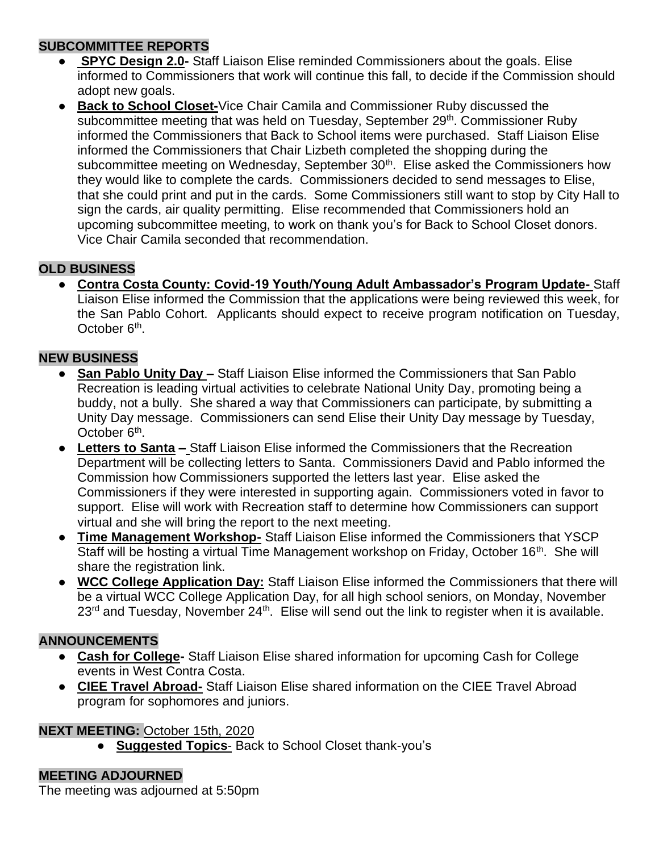## **SUBCOMMITTEE REPORTS**

- **SPYC Design 2.0-** Staff Liaison Elise reminded Commissioners about the goals. Elise informed to Commissioners that work will continue this fall, to decide if the Commission should adopt new goals.
- **Back to School Closet-**Vice Chair Camila and Commissioner Ruby discussed the subcommittee meeting that was held on Tuesday, September 29<sup>th</sup>. Commissioner Ruby informed the Commissioners that Back to School items were purchased. Staff Liaison Elise informed the Commissioners that Chair Lizbeth completed the shopping during the subcommittee meeting on Wednesday, September 30<sup>th</sup>. Elise asked the Commissioners how they would like to complete the cards. Commissioners decided to send messages to Elise, that she could print and put in the cards. Some Commissioners still want to stop by City Hall to sign the cards, air quality permitting. Elise recommended that Commissioners hold an upcoming subcommittee meeting, to work on thank you's for Back to School Closet donors. Vice Chair Camila seconded that recommendation.

# **OLD BUSINESS**

● **Contra Costa County: Covid-19 Youth/Young Adult Ambassador's Program Update-** Staff Liaison Elise informed the Commission that the applications were being reviewed this week, for the San Pablo Cohort. Applicants should expect to receive program notification on Tuesday, October 6<sup>th</sup>.

# **NEW BUSINESS**

- **San Pablo Unity Day –** Staff Liaison Elise informed the Commissioners that San Pablo Recreation is leading virtual activities to celebrate National Unity Day, promoting being a buddy, not a bully. She shared a way that Commissioners can participate, by submitting a Unity Day message. Commissioners can send Elise their Unity Day message by Tuesday, October 6<sup>th</sup>.
- **Letters to Santa –** Staff Liaison Elise informed the Commissioners that the Recreation Department will be collecting letters to Santa. Commissioners David and Pablo informed the Commission how Commissioners supported the letters last year. Elise asked the Commissioners if they were interested in supporting again. Commissioners voted in favor to support. Elise will work with Recreation staff to determine how Commissioners can support virtual and she will bring the report to the next meeting.
- **Time Management Workshop-** Staff Liaison Elise informed the Commissioners that YSCP Staff will be hosting a virtual Time Management workshop on Friday, October 16<sup>th</sup>. She will share the registration link.
- **WCC College Application Day:** Staff Liaison Elise informed the Commissioners that there will be a virtual WCC College Application Day, for all high school seniors, on Monday, November  $23<sup>rd</sup>$  and Tuesday, November  $24<sup>th</sup>$ . Elise will send out the link to register when it is available.

# **ANNOUNCEMENTS**

- **Cash for College-** Staff Liaison Elise shared information for upcoming Cash for College events in West Contra Costa.
- **CIEE Travel Abroad-** Staff Liaison Elise shared information on the CIEE Travel Abroad program for sophomores and juniors.

# **NEXT MEETING:** October 15th, 2020

● **Suggested Topics**- Back to School Closet thank-you's

# **MEETING ADJOURNED**

The meeting was adjourned at 5:50pm